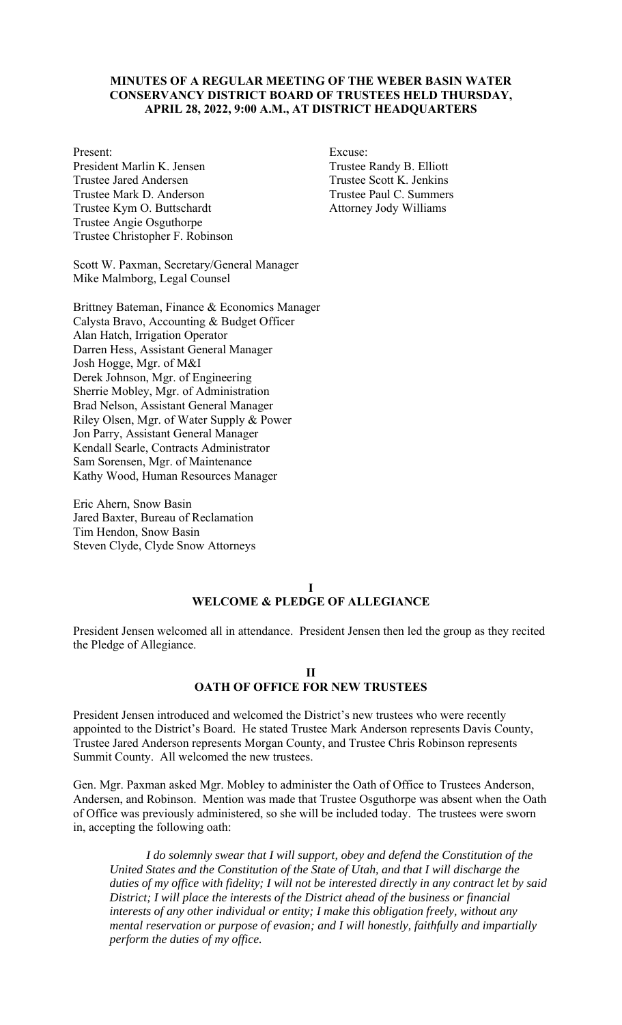## **MINUTES OF A REGULAR MEETING OF THE WEBER BASIN WATER CONSERVANCY DISTRICT BOARD OF TRUSTEES HELD THURSDAY, APRIL 28, 2022, 9:00 A.M., AT DISTRICT HEADQUARTERS**

President Marlin K. Jensen Trustee Randy B. Elliott Trustee Jared Andersen Trustee Scott K. Jenkins Trustee Mark D. Anderson Trustee Paul C. Summers Trustee Kym O. Buttschardt Attorney Jody Williams Trustee Angie Osguthorpe Trustee Christopher F. Robinson

Present: Excuse:

Scott W. Paxman, Secretary/General Manager Mike Malmborg, Legal Counsel

Brittney Bateman, Finance & Economics Manager Calysta Bravo, Accounting & Budget Officer Alan Hatch, Irrigation Operator Darren Hess, Assistant General Manager Josh Hogge, Mgr. of M&I Derek Johnson, Mgr. of Engineering Sherrie Mobley, Mgr. of Administration Brad Nelson, Assistant General Manager Riley Olsen, Mgr. of Water Supply & Power Jon Parry, Assistant General Manager Kendall Searle, Contracts Administrator Sam Sorensen, Mgr. of Maintenance Kathy Wood, Human Resources Manager

Eric Ahern, Snow Basin Jared Baxter, Bureau of Reclamation Tim Hendon, Snow Basin Steven Clyde, Clyde Snow Attorneys

#### **I WELCOME & PLEDGE OF ALLEGIANCE**

President Jensen welcomed all in attendance. President Jensen then led the group as they recited the Pledge of Allegiance.

# **II OATH OF OFFICE FOR NEW TRUSTEES**

President Jensen introduced and welcomed the District's new trustees who were recently appointed to the District's Board. He stated Trustee Mark Anderson represents Davis County, Trustee Jared Anderson represents Morgan County, and Trustee Chris Robinson represents Summit County. All welcomed the new trustees.

Gen. Mgr. Paxman asked Mgr. Mobley to administer the Oath of Office to Trustees Anderson, Andersen, and Robinson. Mention was made that Trustee Osguthorpe was absent when the Oath of Office was previously administered, so she will be included today. The trustees were sworn in, accepting the following oath:

*I do solemnly swear that I will support, obey and defend the Constitution of the United States and the Constitution of the State of Utah, and that I will discharge the duties of my office with fidelity; I will not be interested directly in any contract let by said District; I will place the interests of the District ahead of the business or financial interests of any other individual or entity; I make this obligation freely, without any mental reservation or purpose of evasion; and I will honestly, faithfully and impartially perform the duties of my office.*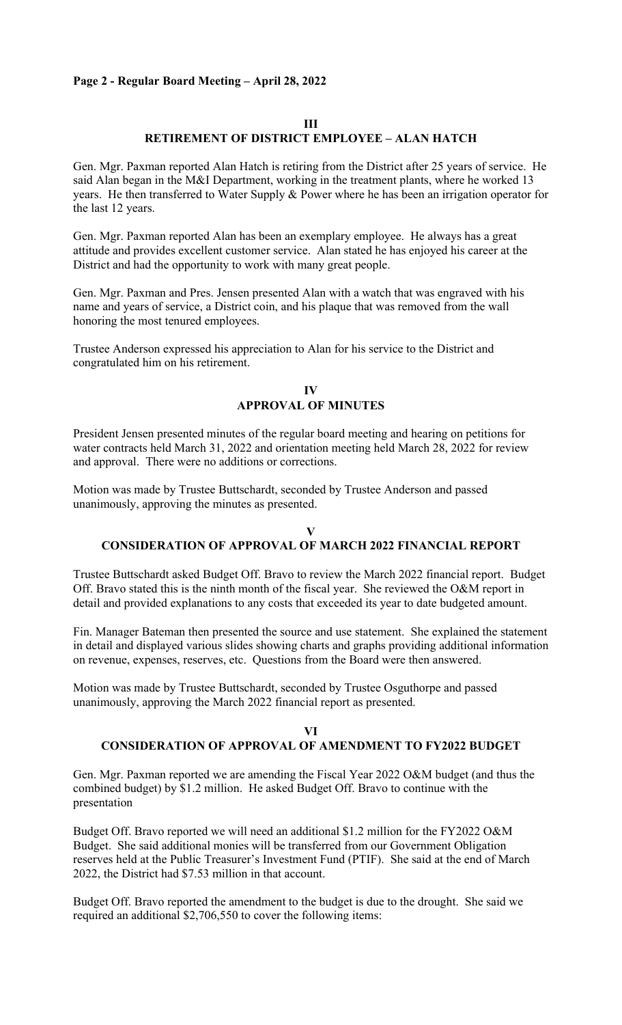## **Page 2 - Regular Board Meeting – April 28, 2022**

#### **III**

# **RETIREMENT OF DISTRICT EMPLOYEE – ALAN HATCH**

Gen. Mgr. Paxman reported Alan Hatch is retiring from the District after 25 years of service. He said Alan began in the M&I Department, working in the treatment plants, where he worked 13 years. He then transferred to Water Supply & Power where he has been an irrigation operator for the last 12 years.

Gen. Mgr. Paxman reported Alan has been an exemplary employee. He always has a great attitude and provides excellent customer service. Alan stated he has enjoyed his career at the District and had the opportunity to work with many great people.

Gen. Mgr. Paxman and Pres. Jensen presented Alan with a watch that was engraved with his name and years of service, a District coin, and his plaque that was removed from the wall honoring the most tenured employees.

Trustee Anderson expressed his appreciation to Alan for his service to the District and congratulated him on his retirement.

#### **IV APPROVAL OF MINUTES**

President Jensen presented minutes of the regular board meeting and hearing on petitions for water contracts held March 31, 2022 and orientation meeting held March 28, 2022 for review and approval. There were no additions or corrections.

Motion was made by Trustee Buttschardt, seconded by Trustee Anderson and passed unanimously, approving the minutes as presented.

## **V CONSIDERATION OF APPROVAL OF MARCH 2022 FINANCIAL REPORT**

Trustee Buttschardt asked Budget Off. Bravo to review the March 2022 financial report. Budget Off. Bravo stated this is the ninth month of the fiscal year. She reviewed the O&M report in detail and provided explanations to any costs that exceeded its year to date budgeted amount.

Fin. Manager Bateman then presented the source and use statement. She explained the statement in detail and displayed various slides showing charts and graphs providing additional information on revenue, expenses, reserves, etc. Questions from the Board were then answered.

Motion was made by Trustee Buttschardt, seconded by Trustee Osguthorpe and passed unanimously, approving the March 2022 financial report as presented.

# **VI CONSIDERATION OF APPROVAL OF AMENDMENT TO FY2022 BUDGET**

Gen. Mgr. Paxman reported we are amending the Fiscal Year 2022 O&M budget (and thus the combined budget) by \$1.2 million. He asked Budget Off. Bravo to continue with the presentation

Budget Off. Bravo reported we will need an additional \$1.2 million for the FY2022 O&M Budget. She said additional monies will be transferred from our Government Obligation reserves held at the Public Treasurer's Investment Fund (PTIF). She said at the end of March 2022, the District had \$7.53 million in that account.

Budget Off. Bravo reported the amendment to the budget is due to the drought. She said we required an additional \$2,706,550 to cover the following items: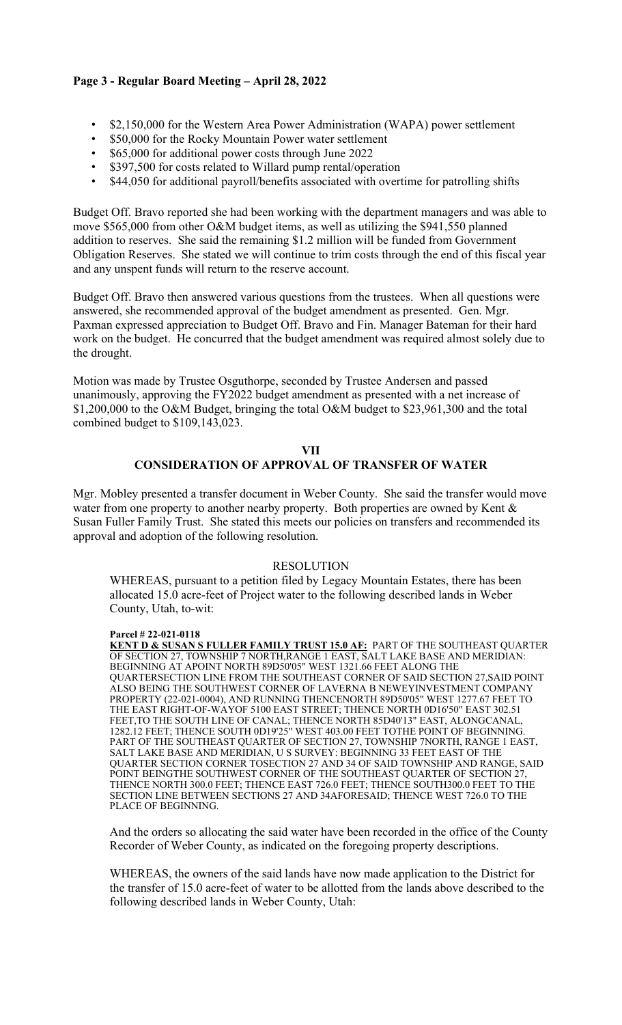# **Page 3 - Regular Board Meeting – April 28, 2022**

- \$2,150,000 for the Western Area Power Administration (WAPA) power settlement
- \$50,000 for the Rocky Mountain Power water settlement
- \$65,000 for additional power costs through June 2022
- \$397,500 for costs related to Willard pump rental/operation
- \$44,050 for additional payroll/benefits associated with overtime for patrolling shifts

Budget Off. Bravo reported she had been working with the department managers and was able to move \$565,000 from other O&M budget items, as well as utilizing the \$941,550 planned addition to reserves. She said the remaining \$1.2 million will be funded from Government Obligation Reserves. She stated we will continue to trim costs through the end of this fiscal year and any unspent funds will return to the reserve account.

Budget Off. Bravo then answered various questions from the trustees. When all questions were answered, she recommended approval of the budget amendment as presented. Gen. Mgr. Paxman expressed appreciation to Budget Off. Bravo and Fin. Manager Bateman for their hard work on the budget. He concurred that the budget amendment was required almost solely due to the drought.

Motion was made by Trustee Osguthorpe, seconded by Trustee Andersen and passed unanimously, approving the FY2022 budget amendment as presented with a net increase of \$1,200,000 to the O&M Budget, bringing the total O&M budget to \$23,961,300 and the total combined budget to \$109,143,023.

## **VII CONSIDERATION OF APPROVAL OF TRANSFER OF WATER**

Mgr. Mobley presented a transfer document in Weber County. She said the transfer would move water from one property to another nearby property. Both properties are owned by Kent & Susan Fuller Family Trust. She stated this meets our policies on transfers and recommended its approval and adoption of the following resolution.

# RESOLUTION

WHEREAS, pursuant to a petition filed by Legacy Mountain Estates, there has been allocated 15.0 acre-feet of Project water to the following described lands in Weber County, Utah, to-wit:

#### **Parcel # 22-021-0118**

**KENT D & SUSAN S FULLER FAMILY TRUST 15.0 AF:** PART OF THE SOUTHEAST QUARTER OF SECTION 27, TOWNSHIP 7 NORTH,RANGE 1 EAST, SALT LAKE BASE AND MERIDIAN: BEGINNING AT APOINT NORTH 89D50'05" WEST 1321.66 FEET ALONG THE QUARTERSECTION LINE FROM THE SOUTHEAST CORNER OF SAID SECTION 27,SAID POINT ALSO BEING THE SOUTHWEST CORNER OF LAVERNA B NEWEYINVESTMENT COMPANY PROPERTY (22-021-0004), AND RUNNING THENCENORTH 89D50'05" WEST 1277.67 FEET TO THE EAST RIGHT-OF-WAYOF 5100 EAST STREET; THENCE NORTH 0D16'50" EAST 302.51 FEET,TO THE SOUTH LINE OF CANAL; THENCE NORTH 85D40'13" EAST, ALONGCANAL, 1282.12 FEET; THENCE SOUTH 0D19'25" WEST 403.00 FEET TOTHE POINT OF BEGINNING. PART OF THE SOUTHEAST QUARTER OF SECTION 27, TOWNSHIP 7NORTH, RANGE 1 EAST, SALT LAKE BASE AND MERIDIAN, U S SURVEY: BEGINNING 33 FEET EAST OF THE QUARTER SECTION CORNER TOSECTION 27 AND 34 OF SAID TOWNSHIP AND RANGE, SAID POINT BEINGTHE SOUTHWEST CORNER OF THE SOUTHEAST QUARTER OF SECTION 27, THENCE NORTH 300.0 FEET; THENCE EAST 726.0 FEET; THENCE SOUTH300.0 FEET TO THE SECTION LINE BETWEEN SECTIONS 27 AND 34AFORESAID; THENCE WEST 726.0 TO THE PLACE OF BEGINNING.

And the orders so allocating the said water have been recorded in the office of the County Recorder of Weber County, as indicated on the foregoing property descriptions.

WHEREAS, the owners of the said lands have now made application to the District for the transfer of 15.0 acre-feet of water to be allotted from the lands above described to the following described lands in Weber County, Utah: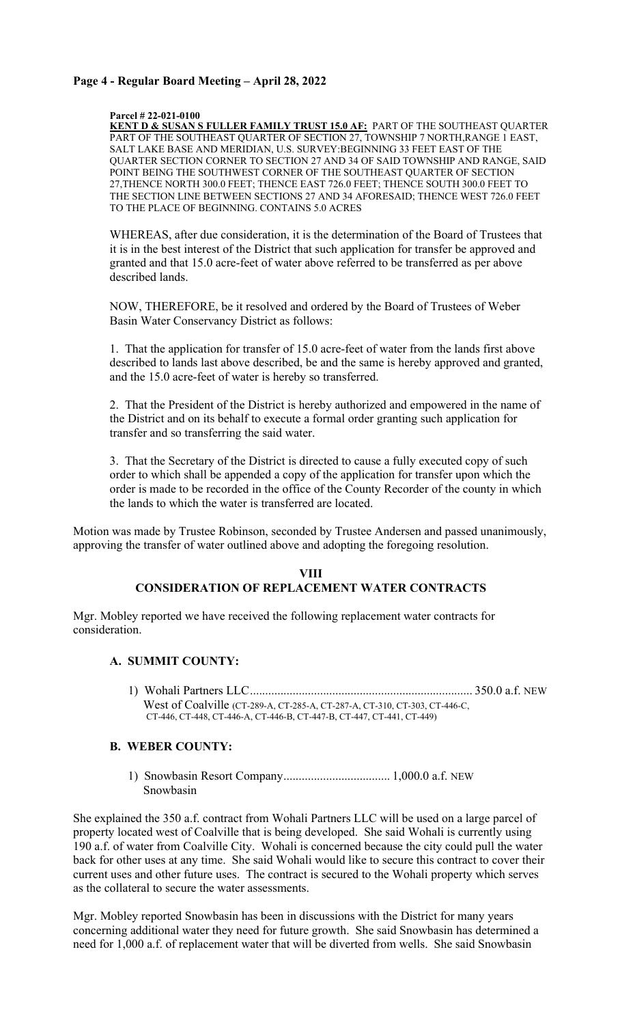## **Page 4 - Regular Board Meeting – April 28, 2022**

**Parcel # 22-021-0100** 

**KENT D & SUSAN S FULLER FAMILY TRUST 15.0 AF:** PART OF THE SOUTHEAST QUARTER PART OF THE SOUTHEAST QUARTER OF SECTION 27, TOWNSHIP 7 NORTH, RANGE 1 EAST, SALT LAKE BASE AND MERIDIAN, U.S. SURVEY:BEGINNING 33 FEET EAST OF THE QUARTER SECTION CORNER TO SECTION 27 AND 34 OF SAID TOWNSHIP AND RANGE, SAID POINT BEING THE SOUTHWEST CORNER OF THE SOUTHEAST QUARTER OF SECTION 27,THENCE NORTH 300.0 FEET; THENCE EAST 726.0 FEET; THENCE SOUTH 300.0 FEET TO THE SECTION LINE BETWEEN SECTIONS 27 AND 34 AFORESAID; THENCE WEST 726.0 FEET TO THE PLACE OF BEGINNING. CONTAINS 5.0 ACRES

WHEREAS, after due consideration, it is the determination of the Board of Trustees that it is in the best interest of the District that such application for transfer be approved and granted and that 15.0 acre-feet of water above referred to be transferred as per above described lands.

NOW, THEREFORE, be it resolved and ordered by the Board of Trustees of Weber Basin Water Conservancy District as follows:

1. That the application for transfer of 15.0 acre-feet of water from the lands first above described to lands last above described, be and the same is hereby approved and granted, and the 15.0 acre-feet of water is hereby so transferred.

2. That the President of the District is hereby authorized and empowered in the name of the District and on its behalf to execute a formal order granting such application for transfer and so transferring the said water.

3. That the Secretary of the District is directed to cause a fully executed copy of such order to which shall be appended a copy of the application for transfer upon which the order is made to be recorded in the office of the County Recorder of the county in which the lands to which the water is transferred are located.

Motion was made by Trustee Robinson, seconded by Trustee Andersen and passed unanimously, approving the transfer of water outlined above and adopting the foregoing resolution.

## **VIII CONSIDERATION OF REPLACEMENT WATER CONTRACTS**

Mgr. Mobley reported we have received the following replacement water contracts for consideration.

# **A. SUMMIT COUNTY:**

 1) Wohali Partners LLC ......................................................................... 350.0 a.f. NEW West of Coalville (CT-289-A, CT-285-A, CT-287-A, CT-310, CT-303, CT-446-C, CT-446, CT-448, CT-446-A, CT-446-B, CT-447-B, CT-447, CT-441, CT-449)

# **B. WEBER COUNTY:**

 1) Snowbasin Resort Company ................................... 1,000.0 a.f. NEW Snowbasin

She explained the 350 a.f. contract from Wohali Partners LLC will be used on a large parcel of property located west of Coalville that is being developed. She said Wohali is currently using 190 a.f. of water from Coalville City. Wohali is concerned because the city could pull the water back for other uses at any time. She said Wohali would like to secure this contract to cover their current uses and other future uses. The contract is secured to the Wohali property which serves as the collateral to secure the water assessments.

Mgr. Mobley reported Snowbasin has been in discussions with the District for many years concerning additional water they need for future growth. She said Snowbasin has determined a need for 1,000 a.f. of replacement water that will be diverted from wells. She said Snowbasin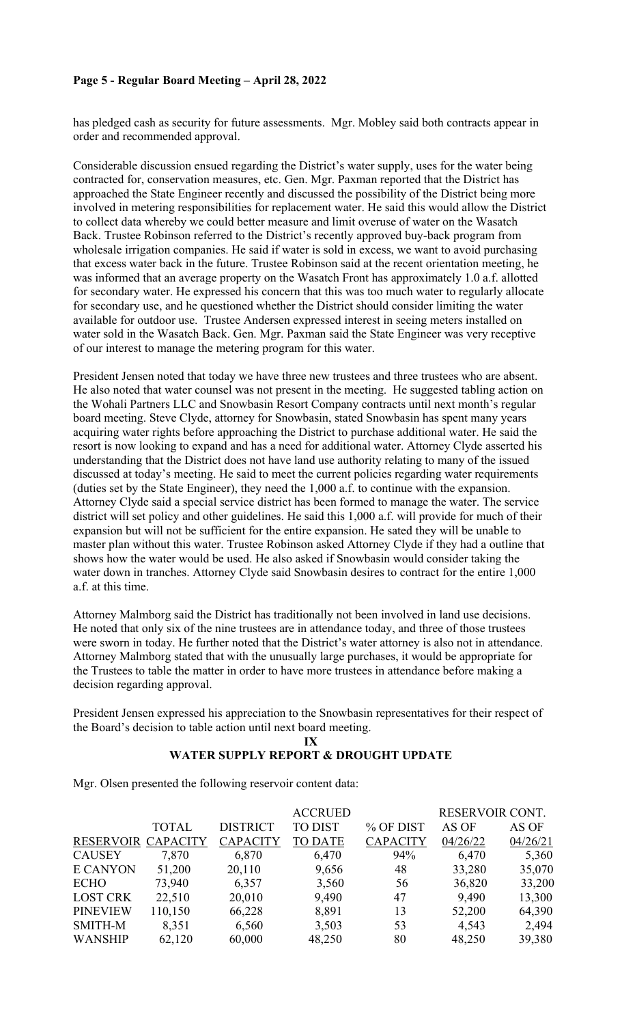# **Page 5 - Regular Board Meeting – April 28, 2022**

has pledged cash as security for future assessments. Mgr. Mobley said both contracts appear in order and recommended approval.

Considerable discussion ensued regarding the District's water supply, uses for the water being contracted for, conservation measures, etc. Gen. Mgr. Paxman reported that the District has approached the State Engineer recently and discussed the possibility of the District being more involved in metering responsibilities for replacement water. He said this would allow the District to collect data whereby we could better measure and limit overuse of water on the Wasatch Back. Trustee Robinson referred to the District's recently approved buy-back program from wholesale irrigation companies. He said if water is sold in excess, we want to avoid purchasing that excess water back in the future. Trustee Robinson said at the recent orientation meeting, he was informed that an average property on the Wasatch Front has approximately 1.0 a.f. allotted for secondary water. He expressed his concern that this was too much water to regularly allocate for secondary use, and he questioned whether the District should consider limiting the water available for outdoor use. Trustee Andersen expressed interest in seeing meters installed on water sold in the Wasatch Back. Gen. Mgr. Paxman said the State Engineer was very receptive of our interest to manage the metering program for this water.

President Jensen noted that today we have three new trustees and three trustees who are absent. He also noted that water counsel was not present in the meeting. He suggested tabling action on the Wohali Partners LLC and Snowbasin Resort Company contracts until next month's regular board meeting. Steve Clyde, attorney for Snowbasin, stated Snowbasin has spent many years acquiring water rights before approaching the District to purchase additional water. He said the resort is now looking to expand and has a need for additional water. Attorney Clyde asserted his understanding that the District does not have land use authority relating to many of the issued discussed at today's meeting. He said to meet the current policies regarding water requirements (duties set by the State Engineer), they need the 1,000 a.f. to continue with the expansion. Attorney Clyde said a special service district has been formed to manage the water. The service district will set policy and other guidelines. He said this 1,000 a.f. will provide for much of their expansion but will not be sufficient for the entire expansion. He sated they will be unable to master plan without this water. Trustee Robinson asked Attorney Clyde if they had a outline that shows how the water would be used. He also asked if Snowbasin would consider taking the water down in tranches. Attorney Clyde said Snowbasin desires to contract for the entire 1,000 a.f. at this time.

Attorney Malmborg said the District has traditionally not been involved in land use decisions. He noted that only six of the nine trustees are in attendance today, and three of those trustees were sworn in today. He further noted that the District's water attorney is also not in attendance. Attorney Malmborg stated that with the unusually large purchases, it would be appropriate for the Trustees to table the matter in order to have more trustees in attendance before making a decision regarding approval.

President Jensen expressed his appreciation to the Snowbasin representatives for their respect of the Board's decision to table action until next board meeting.

**IX** 

# **WATER SUPPLY REPORT & DROUGHT UPDATE**

Mgr. Olsen presented the following reservoir content data:

|                    |              |                 | <b>ACCRUED</b> |                 | RESERVOIR CONT. |          |
|--------------------|--------------|-----------------|----------------|-----------------|-----------------|----------|
|                    | <b>TOTAL</b> | <b>DISTRICT</b> | <b>TO DIST</b> | % OF DIST       | AS OF           | AS OF    |
| RESERVOIR CAPACITY |              | <b>CAPACITY</b> | <b>TO DATE</b> | <b>CAPACITY</b> | 04/26/22        | 04/26/21 |
| <b>CAUSEY</b>      | 7,870        | 6,870           | 6,470          | 94%             | 6,470           | 5,360    |
| <b>E CANYON</b>    | 51,200       | 20,110          | 9,656          | 48              | 33,280          | 35,070   |
| <b>ECHO</b>        | 73,940       | 6,357           | 3,560          | 56              | 36,820          | 33,200   |
| <b>LOST CRK</b>    | 22,510       | 20,010          | 9,490          | 47              | 9,490           | 13,300   |
| <b>PINEVIEW</b>    | 110,150      | 66,228          | 8,891          | 13              | 52,200          | 64,390   |
| <b>SMITH-M</b>     | 8,351        | 6,560           | 3,503          | 53              | 4,543           | 2,494    |
| <b>WANSHIP</b>     | 62,120       | 60,000          | 48,250         | 80              | 48,250          | 39,380   |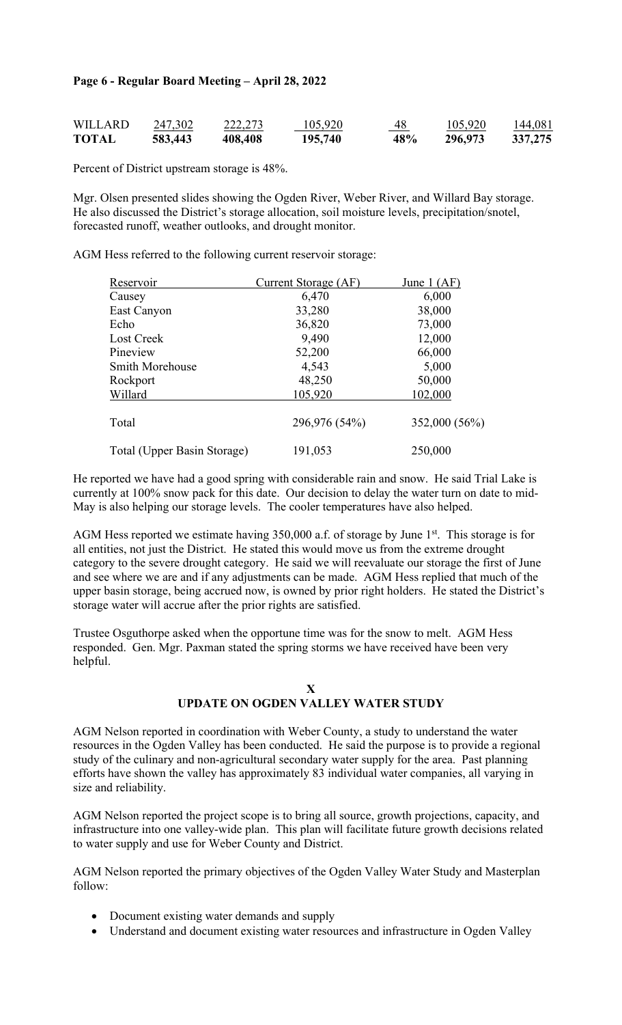# **Page 6 - Regular Board Meeting – April 28, 2022**

| <b>WILLARD</b> | 247,302 | 222,273 | 105,920 | 48<br>the contract of the contract of the | 105,920 | 144,081 |
|----------------|---------|---------|---------|-------------------------------------------|---------|---------|
| <b>TOTAL</b>   | 583,443 | 408,408 | 195,740 | 48%                                       | 296,973 | 337,275 |

Percent of District upstream storage is 48%.

Mgr. Olsen presented slides showing the Ogden River, Weber River, and Willard Bay storage. He also discussed the District's storage allocation, soil moisture levels, precipitation/snotel, forecasted runoff, weather outlooks, and drought monitor.

AGM Hess referred to the following current reservoir storage:

| Reservoir                   | Current Storage (AF) | June $1 (AF)$ |  |
|-----------------------------|----------------------|---------------|--|
| Causey                      | 6,470                | 6,000         |  |
| East Canyon                 | 33,280               | 38,000        |  |
| Echo                        | 36,820               | 73,000        |  |
| Lost Creek                  | 9,490                | 12,000        |  |
| Pineview                    | 52,200               | 66,000        |  |
| <b>Smith Morehouse</b>      | 4,543                | 5,000         |  |
| Rockport                    | 48,250               | 50,000        |  |
| Willard                     | 105,920              | 102,000       |  |
| Total                       | 296,976 (54%)        | 352,000 (56%) |  |
| Total (Upper Basin Storage) | 191,053              | 250,000       |  |

He reported we have had a good spring with considerable rain and snow. He said Trial Lake is currently at 100% snow pack for this date. Our decision to delay the water turn on date to mid-May is also helping our storage levels. The cooler temperatures have also helped.

AGM Hess reported we estimate having 350,000 a.f. of storage by June 1<sup>st</sup>. This storage is for all entities, not just the District. He stated this would move us from the extreme drought category to the severe drought category. He said we will reevaluate our storage the first of June and see where we are and if any adjustments can be made. AGM Hess replied that much of the upper basin storage, being accrued now, is owned by prior right holders. He stated the District's storage water will accrue after the prior rights are satisfied.

Trustee Osguthorpe asked when the opportune time was for the snow to melt. AGM Hess responded. Gen. Mgr. Paxman stated the spring storms we have received have been very helpful.

# **X UPDATE ON OGDEN VALLEY WATER STUDY**

AGM Nelson reported in coordination with Weber County, a study to understand the water resources in the Ogden Valley has been conducted. He said the purpose is to provide a regional study of the culinary and non-agricultural secondary water supply for the area. Past planning efforts have shown the valley has approximately 83 individual water companies, all varying in size and reliability.

AGM Nelson reported the project scope is to bring all source, growth projections, capacity, and infrastructure into one valley-wide plan. This plan will facilitate future growth decisions related to water supply and use for Weber County and District.

AGM Nelson reported the primary objectives of the Ogden Valley Water Study and Masterplan follow:

- Document existing water demands and supply
- Understand and document existing water resources and infrastructure in Ogden Valley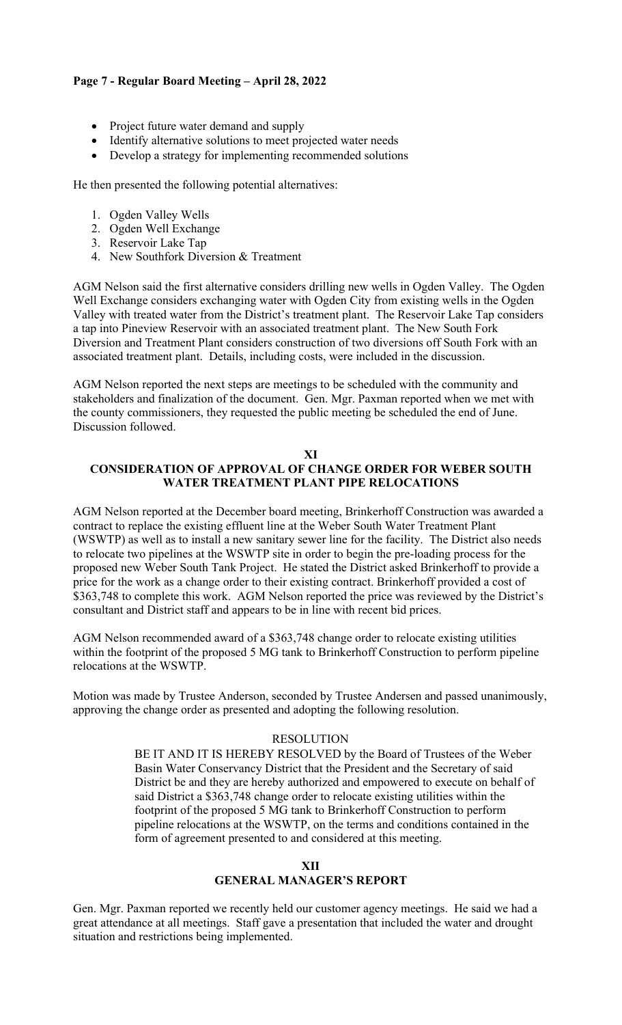# **Page 7 - Regular Board Meeting – April 28, 2022**

- Project future water demand and supply
- Identify alternative solutions to meet projected water needs
- Develop a strategy for implementing recommended solutions

He then presented the following potential alternatives:

- 1. Ogden Valley Wells
- 2. Ogden Well Exchange
- 3. Reservoir Lake Tap
- 4. New Southfork Diversion & Treatment

AGM Nelson said the first alternative considers drilling new wells in Ogden Valley. The Ogden Well Exchange considers exchanging water with Ogden City from existing wells in the Ogden Valley with treated water from the District's treatment plant. The Reservoir Lake Tap considers a tap into Pineview Reservoir with an associated treatment plant. The New South Fork Diversion and Treatment Plant considers construction of two diversions off South Fork with an associated treatment plant. Details, including costs, were included in the discussion.

AGM Nelson reported the next steps are meetings to be scheduled with the community and stakeholders and finalization of the document. Gen. Mgr. Paxman reported when we met with the county commissioners, they requested the public meeting be scheduled the end of June. Discussion followed.

## **XI CONSIDERATION OF APPROVAL OF CHANGE ORDER FOR WEBER SOUTH WATER TREATMENT PLANT PIPE RELOCATIONS**

AGM Nelson reported at the December board meeting, Brinkerhoff Construction was awarded a contract to replace the existing effluent line at the Weber South Water Treatment Plant (WSWTP) as well as to install a new sanitary sewer line for the facility. The District also needs to relocate two pipelines at the WSWTP site in order to begin the pre-loading process for the proposed new Weber South Tank Project. He stated the District asked Brinkerhoff to provide a price for the work as a change order to their existing contract. Brinkerhoff provided a cost of \$363,748 to complete this work. AGM Nelson reported the price was reviewed by the District's consultant and District staff and appears to be in line with recent bid prices.

AGM Nelson recommended award of a \$363,748 change order to relocate existing utilities within the footprint of the proposed 5 MG tank to Brinkerhoff Construction to perform pipeline relocations at the WSWTP.

Motion was made by Trustee Anderson, seconded by Trustee Andersen and passed unanimously, approving the change order as presented and adopting the following resolution.

# RESOLUTION

BE IT AND IT IS HEREBY RESOLVED by the Board of Trustees of the Weber Basin Water Conservancy District that the President and the Secretary of said District be and they are hereby authorized and empowered to execute on behalf of said District a \$363,748 change order to relocate existing utilities within the footprint of the proposed 5 MG tank to Brinkerhoff Construction to perform pipeline relocations at the WSWTP, on the terms and conditions contained in the form of agreement presented to and considered at this meeting.

# **XII GENERAL MANAGER'S REPORT**

Gen. Mgr. Paxman reported we recently held our customer agency meetings. He said we had a great attendance at all meetings. Staff gave a presentation that included the water and drought situation and restrictions being implemented.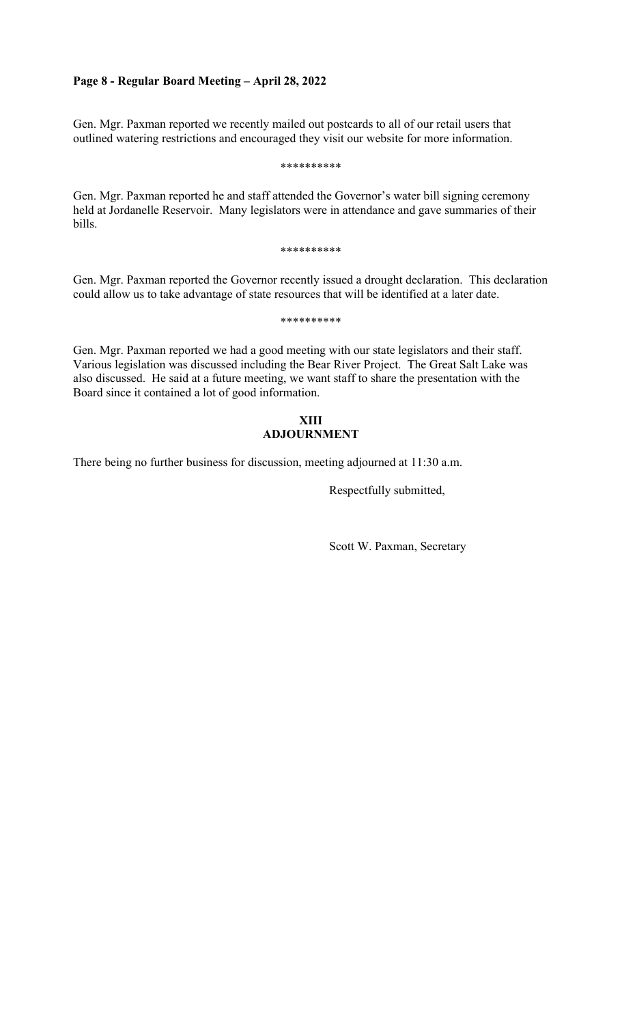## **Page 8 - Regular Board Meeting – April 28, 2022**

Gen. Mgr. Paxman reported we recently mailed out postcards to all of our retail users that outlined watering restrictions and encouraged they visit our website for more information.

\*\*\*\*\*\*\*\*\*\*

Gen. Mgr. Paxman reported he and staff attended the Governor's water bill signing ceremony held at Jordanelle Reservoir. Many legislators were in attendance and gave summaries of their bills.

\*\*\*\*\*\*\*\*\*\*

Gen. Mgr. Paxman reported the Governor recently issued a drought declaration. This declaration could allow us to take advantage of state resources that will be identified at a later date.

\*\*\*\*\*\*\*\*\*\*

Gen. Mgr. Paxman reported we had a good meeting with our state legislators and their staff. Various legislation was discussed including the Bear River Project. The Great Salt Lake was also discussed. He said at a future meeting, we want staff to share the presentation with the Board since it contained a lot of good information.

## **XIII ADJOURNMENT**

There being no further business for discussion, meeting adjourned at 11:30 a.m.

Respectfully submitted,

Scott W. Paxman, Secretary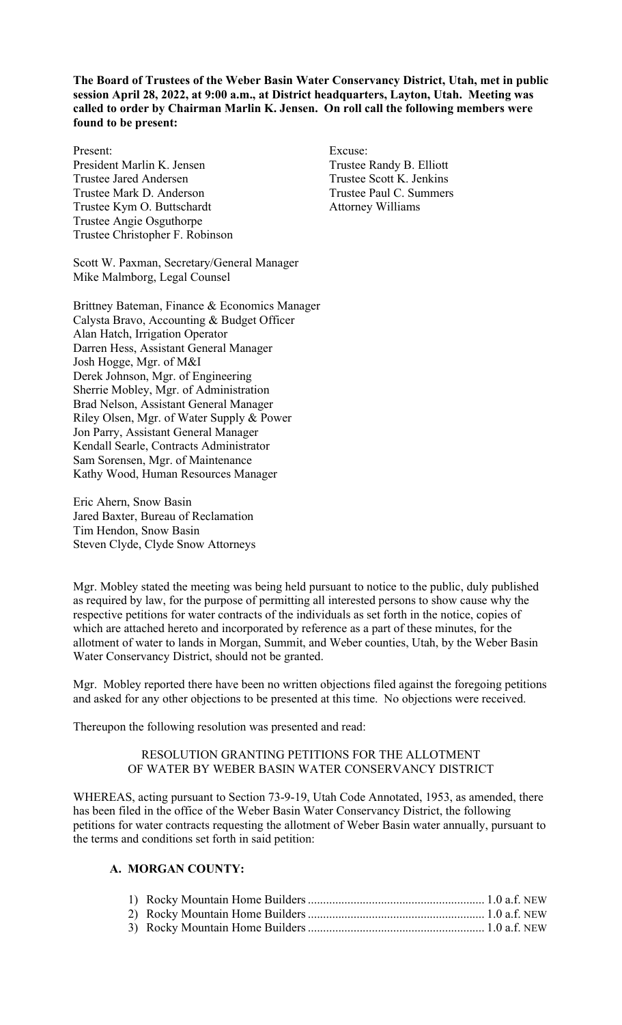**The Board of Trustees of the Weber Basin Water Conservancy District, Utah, met in public session April 28, 2022, at 9:00 a.m., at District headquarters, Layton, Utah. Meeting was called to order by Chairman Marlin K. Jensen. On roll call the following members were found to be present:** 

Present: Excuse: President Marlin K. Jensen Trustee Randy B. Elliott Trustee Jared Andersen Trustee Scott K. Jenkins Trustee Mark D. Anderson Trustee Paul C. Summers Trustee Kym O. Buttschardt Attorney Williams Trustee Angie Osguthorpe Trustee Christopher F. Robinson

Scott W. Paxman, Secretary/General Manager Mike Malmborg, Legal Counsel

Brittney Bateman, Finance & Economics Manager Calysta Bravo, Accounting & Budget Officer Alan Hatch, Irrigation Operator Darren Hess, Assistant General Manager Josh Hogge, Mgr. of M&I Derek Johnson, Mgr. of Engineering Sherrie Mobley, Mgr. of Administration Brad Nelson, Assistant General Manager Riley Olsen, Mgr. of Water Supply & Power Jon Parry, Assistant General Manager Kendall Searle, Contracts Administrator Sam Sorensen, Mgr. of Maintenance Kathy Wood, Human Resources Manager

Eric Ahern, Snow Basin Jared Baxter, Bureau of Reclamation Tim Hendon, Snow Basin Steven Clyde, Clyde Snow Attorneys

Mgr. Mobley stated the meeting was being held pursuant to notice to the public, duly published as required by law, for the purpose of permitting all interested persons to show cause why the respective petitions for water contracts of the individuals as set forth in the notice, copies of which are attached hereto and incorporated by reference as a part of these minutes, for the allotment of water to lands in Morgan, Summit, and Weber counties, Utah, by the Weber Basin Water Conservancy District, should not be granted.

Mgr. Mobley reported there have been no written objections filed against the foregoing petitions and asked for any other objections to be presented at this time. No objections were received.

Thereupon the following resolution was presented and read:

## RESOLUTION GRANTING PETITIONS FOR THE ALLOTMENT OF WATER BY WEBER BASIN WATER CONSERVANCY DISTRICT

WHEREAS, acting pursuant to Section 73-9-19, Utah Code Annotated, 1953, as amended, there has been filed in the office of the Weber Basin Water Conservancy District, the following petitions for water contracts requesting the allotment of Weber Basin water annually, pursuant to the terms and conditions set forth in said petition:

# **A. MORGAN COUNTY:**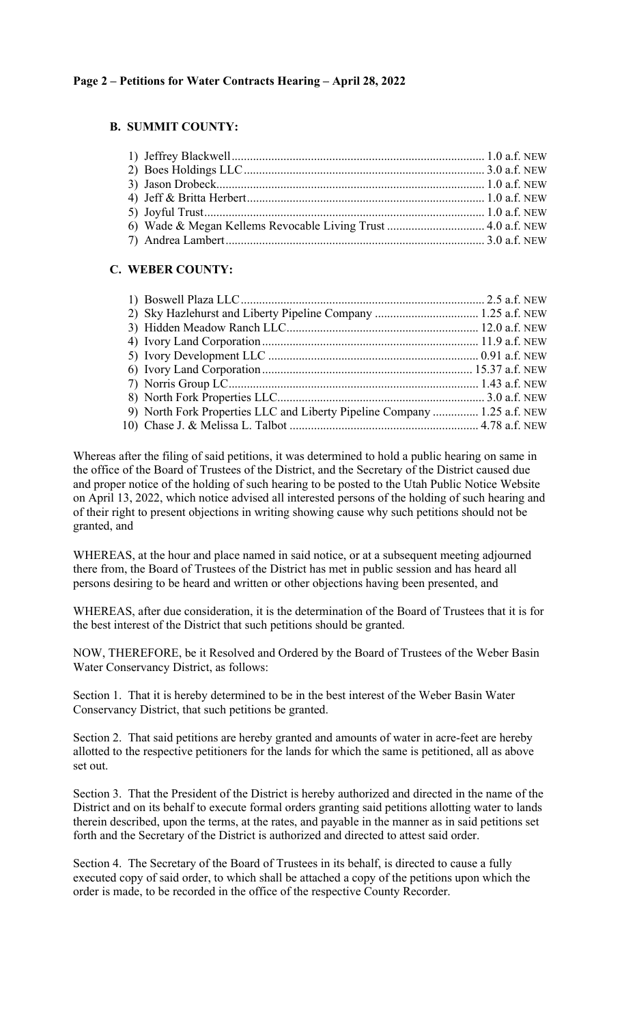# **B. SUMMIT COUNTY:**

| 6) Wade & Megan Kellems Revocable Living Trust  4.0 a.f. NEW |  |
|--------------------------------------------------------------|--|
|                                                              |  |

# **C. WEBER COUNTY:**

| 9) North Fork Properties LLC and Liberty Pipeline Company  1.25 a.f. NEW |  |
|--------------------------------------------------------------------------|--|
|                                                                          |  |

Whereas after the filing of said petitions, it was determined to hold a public hearing on same in the office of the Board of Trustees of the District, and the Secretary of the District caused due and proper notice of the holding of such hearing to be posted to the Utah Public Notice Website on April 13, 2022, which notice advised all interested persons of the holding of such hearing and of their right to present objections in writing showing cause why such petitions should not be granted, and

WHEREAS, at the hour and place named in said notice, or at a subsequent meeting adjourned there from, the Board of Trustees of the District has met in public session and has heard all persons desiring to be heard and written or other objections having been presented, and

WHEREAS, after due consideration, it is the determination of the Board of Trustees that it is for the best interest of the District that such petitions should be granted.

NOW, THEREFORE, be it Resolved and Ordered by the Board of Trustees of the Weber Basin Water Conservancy District, as follows:

Section 1. That it is hereby determined to be in the best interest of the Weber Basin Water Conservancy District, that such petitions be granted.

Section 2. That said petitions are hereby granted and amounts of water in acre-feet are hereby allotted to the respective petitioners for the lands for which the same is petitioned, all as above set out.

Section 3. That the President of the District is hereby authorized and directed in the name of the District and on its behalf to execute formal orders granting said petitions allotting water to lands therein described, upon the terms, at the rates, and payable in the manner as in said petitions set forth and the Secretary of the District is authorized and directed to attest said order.

Section 4. The Secretary of the Board of Trustees in its behalf, is directed to cause a fully executed copy of said order, to which shall be attached a copy of the petitions upon which the order is made, to be recorded in the office of the respective County Recorder.